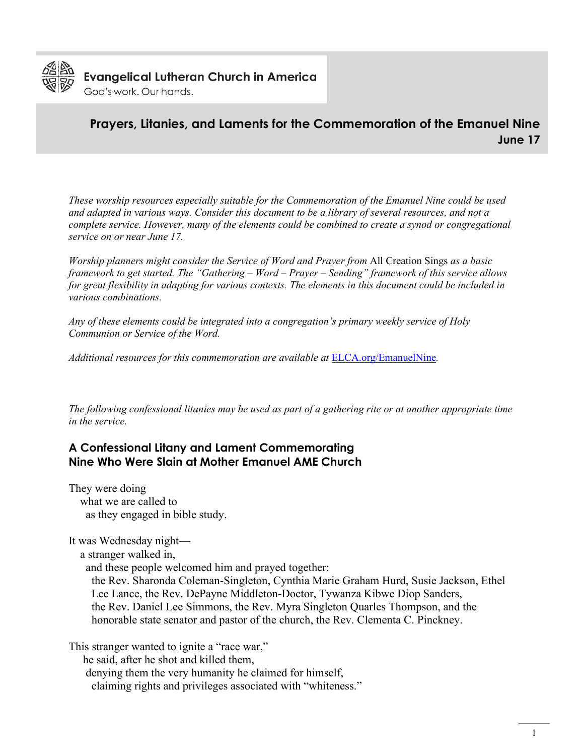

# **Evangelical Lutheran Church in America**

God's work, Our hands,

# **Prayers, Litanies, and Laments for the Commemoration of the Emanuel Nine June 17**

*These worship resources especially suitable for the Commemoration of the Emanuel Nine could be used and adapted in various ways. Consider this document to be a library of several resources, and not a complete service. However, many of the elements could be combined to create a synod or congregational service on or near June 17.* 

*Worship planners might consider the Service of Word and Prayer from* All Creation Sings *as a basic framework to get started. The "Gathering – Word – Prayer – Sending" framework of this service allows for great flexibility in adapting for various contexts. The elements in this document could be included in various combinations.*

*Any of these elements could be integrated into a congregation's primary weekly service of Holy Communion or Service of the Word.* 

*Additional resources for this commemoration are available at* [ELCA.org/EmanuelNine](http://www.elca.org/EmanuelNine)*.* 

*The following confessional litanies may be used as part of a gathering rite or at another appropriate time in the service.*

## **A Confessional Litany and Lament Commemorating Nine Who Were Slain at Mother Emanuel AME Church**

They were doing what we are called to as they engaged in bible study.

It was Wednesday night—

a stranger walked in,

and these people welcomed him and prayed together:

 the Rev. Sharonda Coleman-Singleton, Cynthia Marie Graham Hurd, Susie Jackson, Ethel Lee Lance, the Rev. DePayne Middleton-Doctor, Tywanza Kibwe Diop Sanders, the Rev. Daniel Lee Simmons, the Rev. Myra Singleton Quarles Thompson, and the honorable state senator and pastor of the church, the Rev. Clementa C. Pinckney.

This stranger wanted to ignite a "race war,"

he said, after he shot and killed them,

denying them the very humanity he claimed for himself,

claiming rights and privileges associated with "whiteness."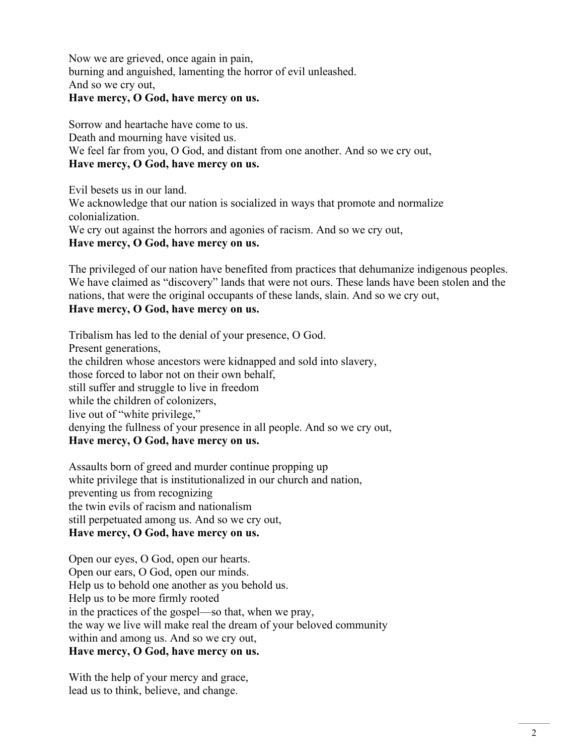Now we are grieved, once again in pain, burning and anguished, lamenting the horror of evil unleashed. And so we cry out, **Have mercy, O God, have mercy on us.**

Sorrow and heartache have come to us. Death and mourning have visited us. We feel far from you, O God, and distant from one another. And so we cry out, **Have mercy, O God, have mercy on us.**

Evil besets us in our land. We acknowledge that our nation is socialized in ways that promote and normalize colonialization. We cry out against the horrors and agonies of racism. And so we cry out, **Have mercy, O God, have mercy on us.**

The privileged of our nation have benefited from practices that dehumanize indigenous peoples. We have claimed as "discovery" lands that were not ours. These lands have been stolen and the nations, that were the original occupants of these lands, slain. And so we cry out, **Have mercy, O God, have mercy on us.**

Tribalism has led to the denial of your presence, O God. Present generations, the children whose ancestors were kidnapped and sold into slavery, those forced to labor not on their own behalf, still suffer and struggle to live in freedom while the children of colonizers. live out of "white privilege," denying the fullness of your presence in all people. And so we cry out, **Have mercy, O God, have mercy on us.**

Assaults born of greed and murder continue propping up white privilege that is institutionalized in our church and nation, preventing us from recognizing the twin evils of racism and nationalism still perpetuated among us. And so we cry out, **Have mercy, O God, have mercy on us.**

Open our eyes, O God, open our hearts. Open our ears, O God, open our minds. Help us to behold one another as you behold us. Help us to be more firmly rooted in the practices of the gospel—so that, when we pray, the way we live will make real the dream of your beloved community within and among us. And so we cry out, **Have mercy, O God, have mercy on us.**

With the help of your mercy and grace, lead us to think, believe, and change.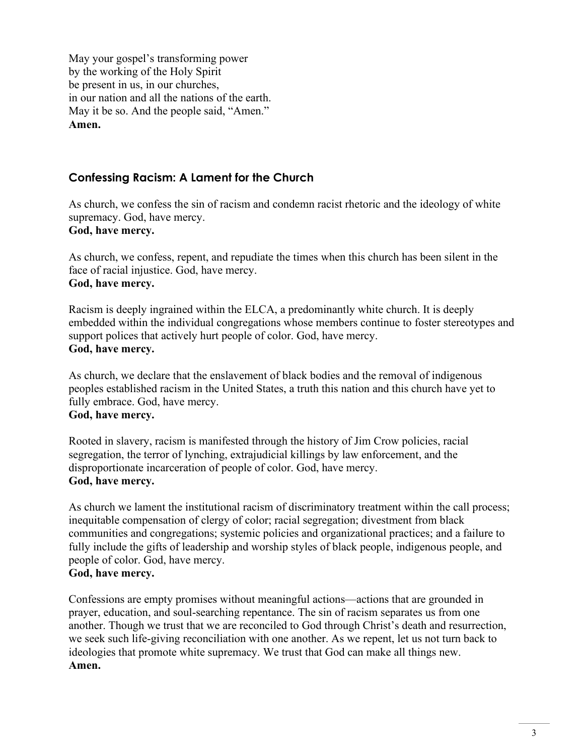May your gospel's transforming power by the working of the Holy Spirit be present in us, in our churches, in our nation and all the nations of the earth. May it be so. And the people said, "Amen." **Amen.**

# **Confessing Racism: A Lament for the Church**

As church, we confess the sin of racism and condemn racist rhetoric and the ideology of white supremacy. God, have mercy. **God, have mercy.**

As church, we confess, repent, and repudiate the times when this church has been silent in the face of racial injustice. God, have mercy. **God, have mercy.**

Racism is deeply ingrained within the ELCA, a predominantly white church. It is deeply embedded within the individual congregations whose members continue to foster stereotypes and support polices that actively hurt people of color. God, have mercy. **God, have mercy.**

As church, we declare that the enslavement of black bodies and the removal of indigenous peoples established racism in the United States, a truth this nation and this church have yet to fully embrace. God, have mercy.

# **God, have mercy.**

Rooted in slavery, racism is manifested through the history of Jim Crow policies, racial segregation, the terror of lynching, extrajudicial killings by law enforcement, and the disproportionate incarceration of people of color. God, have mercy. **God, have mercy.**

As church we lament the institutional racism of discriminatory treatment within the call process; inequitable compensation of clergy of color; racial segregation; divestment from black communities and congregations; systemic policies and organizational practices; and a failure to fully include the gifts of leadership and worship styles of black people, indigenous people, and people of color. God, have mercy.

### **God, have mercy.**

Confessions are empty promises without meaningful actions—actions that are grounded in prayer, education, and soul-searching repentance. The sin of racism separates us from one another. Though we trust that we are reconciled to God through Christ's death and resurrection, we seek such life-giving reconciliation with one another. As we repent, let us not turn back to ideologies that promote white supremacy. We trust that God can make all things new. **Amen.**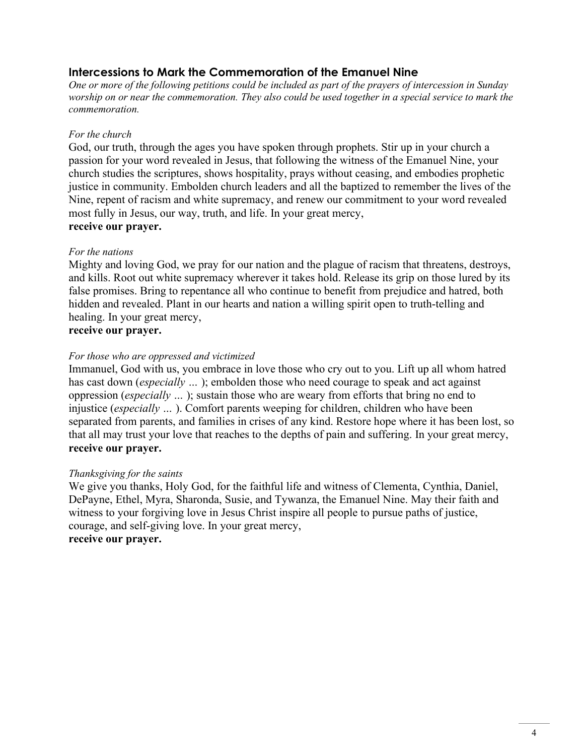## **Intercessions to Mark the Commemoration of the Emanuel Nine**

*One or more of the following petitions could be included as part of the prayers of intercession in Sunday worship on or near the commemoration. They also could be used together in a special service to mark the commemoration.*

### *For the church*

God, our truth, through the ages you have spoken through prophets. Stir up in your church a passion for your word revealed in Jesus, that following the witness of the Emanuel Nine, your church studies the scriptures, shows hospitality, prays without ceasing, and embodies prophetic justice in community. Embolden church leaders and all the baptized to remember the lives of the Nine, repent of racism and white supremacy, and renew our commitment to your word revealed most fully in Jesus, our way, truth, and life. In your great mercy, **receive our prayer.**

### *For the nations*

Mighty and loving God, we pray for our nation and the plague of racism that threatens, destroys, and kills. Root out white supremacy wherever it takes hold. Release its grip on those lured by its false promises. Bring to repentance all who continue to benefit from prejudice and hatred, both hidden and revealed. Plant in our hearts and nation a willing spirit open to truth-telling and healing. In your great mercy,

### **receive our prayer.**

#### *For those who are oppressed and victimized*

Immanuel, God with us, you embrace in love those who cry out to you. Lift up all whom hatred has cast down (*especially …* ); embolden those who need courage to speak and act against oppression (*especially …* ); sustain those who are weary from efforts that bring no end to injustice (*especially …* ). Comfort parents weeping for children, children who have been separated from parents, and families in crises of any kind. Restore hope where it has been lost, so that all may trust your love that reaches to the depths of pain and suffering. In your great mercy, **receive our prayer.**

#### *Thanksgiving for the saints*

We give you thanks, Holy God, for the faithful life and witness of Clementa, Cynthia, Daniel, DePayne, Ethel, Myra, Sharonda, Susie, and Tywanza, the Emanuel Nine. May their faith and witness to your forgiving love in Jesus Christ inspire all people to pursue paths of justice, courage, and self-giving love. In your great mercy, **receive our prayer.**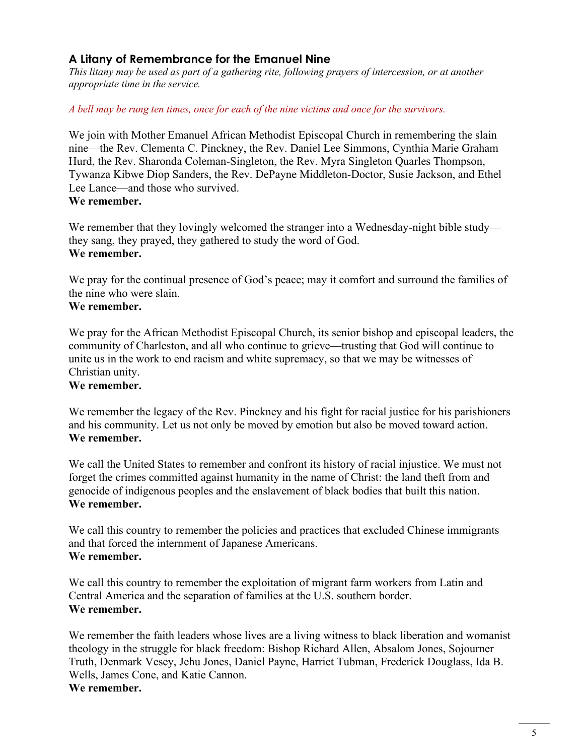# **A Litany of Remembrance for the Emanuel Nine**

*This litany may be used as part of a gathering rite, following prayers of intercession, or at another appropriate time in the service.*

#### *A bell may be rung ten times, once for each of the nine victims and once for the survivors.*

We join with Mother Emanuel African Methodist Episcopal Church in remembering the slain nine—the Rev. Clementa C. Pinckney, the Rev. Daniel Lee Simmons, Cynthia Marie Graham Hurd, the Rev. Sharonda Coleman-Singleton, the Rev. Myra Singleton Quarles Thompson, Tywanza Kibwe Diop Sanders, the Rev. DePayne Middleton-Doctor, Susie Jackson, and Ethel Lee Lance—and those who survived. **We remember.** 

We remember that they lovingly welcomed the stranger into a Wednesday-night bible study they sang, they prayed, they gathered to study the word of God. **We remember.** 

We pray for the continual presence of God's peace; may it comfort and surround the families of the nine who were slain.

### **We remember.**

We pray for the African Methodist Episcopal Church, its senior bishop and episcopal leaders, the community of Charleston, and all who continue to grieve—trusting that God will continue to unite us in the work to end racism and white supremacy, so that we may be witnesses of Christian unity.

### **We remember.**

We remember the legacy of the Rev. Pinckney and his fight for racial justice for his parishioners and his community. Let us not only be moved by emotion but also be moved toward action. **We remember.** 

We call the United States to remember and confront its history of racial injustice. We must not forget the crimes committed against humanity in the name of Christ: the land theft from and genocide of indigenous peoples and the enslavement of black bodies that built this nation. **We remember.** 

We call this country to remember the policies and practices that excluded Chinese immigrants and that forced the internment of Japanese Americans. **We remember.**

We call this country to remember the exploitation of migrant farm workers from Latin and Central America and the separation of families at the U.S. southern border. **We remember.** 

We remember the faith leaders whose lives are a living witness to black liberation and womanist theology in the struggle for black freedom: Bishop Richard Allen, Absalom Jones, Sojourner Truth, Denmark Vesey, Jehu Jones, Daniel Payne, Harriet Tubman, Frederick Douglass, Ida B. Wells, James Cone, and Katie Cannon. **We remember.**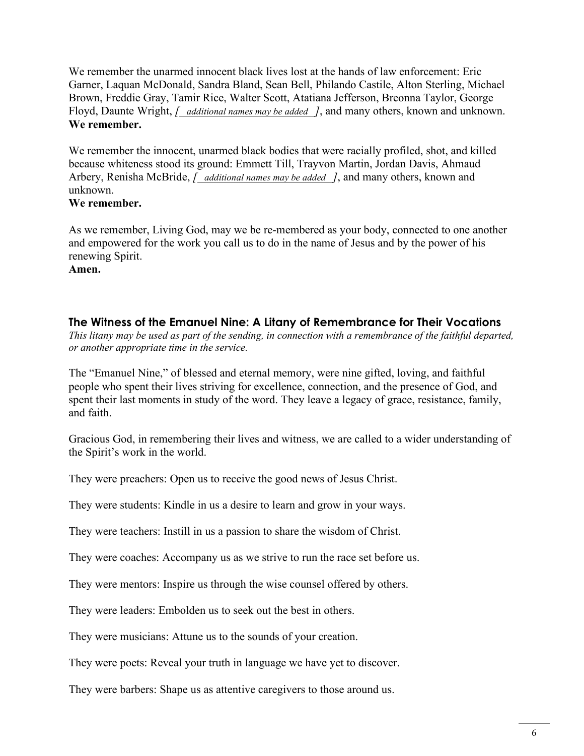We remember the unarmed innocent black lives lost at the hands of law enforcement: Eric Garner, Laquan McDonald, Sandra Bland, Sean Bell, Philando Castile, Alton Sterling, Michael Brown, Freddie Gray, Tamir Rice, Walter Scott, Atatiana Jefferson, Breonna Taylor, George Floyd, Daunte Wright, *[ additional names may be added ]*, and many others, known and unknown. **We remember.**

We remember the innocent, unarmed black bodies that were racially profiled, shot, and killed because whiteness stood its ground: Emmett Till, Trayvon Martin, Jordan Davis, Ahmaud Arbery, Renisha McBride, *[ additional names may be added ]*, and many others, known and unknown.

#### **We remember.**

As we remember, Living God, may we be re-membered as your body, connected to one another and empowered for the work you call us to do in the name of Jesus and by the power of his renewing Spirit.

**Amen.**

### **The Witness of the Emanuel Nine: A Litany of Remembrance for Their Vocations**

*This litany may be used as part of the sending, in connection with a remembrance of the faithful departed, or another appropriate time in the service.* 

The "Emanuel Nine," of blessed and eternal memory, were nine gifted, loving, and faithful people who spent their lives striving for excellence, connection, and the presence of God, and spent their last moments in study of the word. They leave a legacy of grace, resistance, family, and faith.

Gracious God, in remembering their lives and witness, we are called to a wider understanding of the Spirit's work in the world.

They were preachers: Open us to receive the good news of Jesus Christ.

They were students: Kindle in us a desire to learn and grow in your ways.

They were teachers: Instill in us a passion to share the wisdom of Christ.

They were coaches: Accompany us as we strive to run the race set before us.

They were mentors: Inspire us through the wise counsel offered by others.

They were leaders: Embolden us to seek out the best in others.

They were musicians: Attune us to the sounds of your creation.

They were poets: Reveal your truth in language we have yet to discover.

They were barbers: Shape us as attentive caregivers to those around us.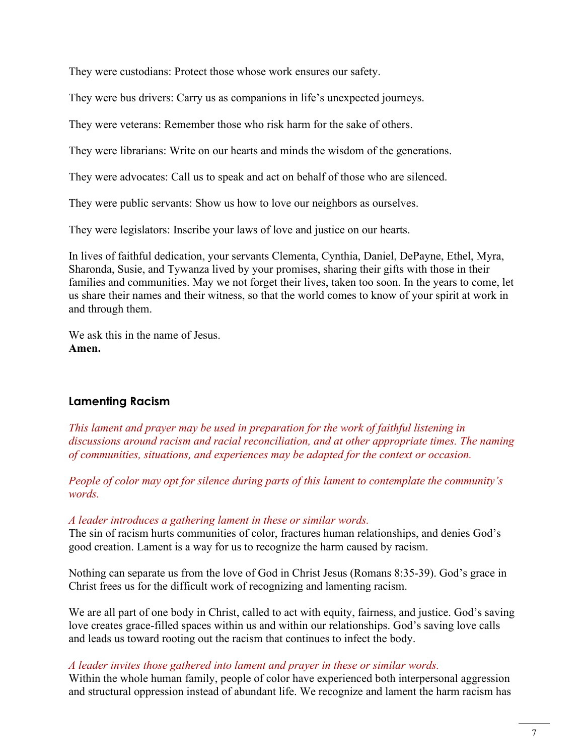They were custodians: Protect those whose work ensures our safety.

They were bus drivers: Carry us as companions in life's unexpected journeys.

They were veterans: Remember those who risk harm for the sake of others.

They were librarians: Write on our hearts and minds the wisdom of the generations.

They were advocates: Call us to speak and act on behalf of those who are silenced.

They were public servants: Show us how to love our neighbors as ourselves.

They were legislators: Inscribe your laws of love and justice on our hearts.

In lives of faithful dedication, your servants Clementa, Cynthia, Daniel, DePayne, Ethel, Myra, Sharonda, Susie, and Tywanza lived by your promises, sharing their gifts with those in their families and communities. May we not forget their lives, taken too soon. In the years to come, let us share their names and their witness, so that the world comes to know of your spirit at work in and through them.

We ask this in the name of Jesus. **Amen.**

## **Lamenting Racism**

*This lament and prayer may be used in preparation for the work of faithful listening in discussions around racism and racial reconciliation, and at other appropriate times. The naming of communities, situations, and experiences may be adapted for the context or occasion.* 

*People of color may opt for silence during parts of this lament to contemplate the community's words.*

### *A leader introduces a gathering lament in these or similar words.*

The sin of racism hurts communities of color, fractures human relationships, and denies God's good creation. Lament is a way for us to recognize the harm caused by racism.

Nothing can separate us from the love of God in Christ Jesus (Romans 8:35-39). God's grace in Christ frees us for the difficult work of recognizing and lamenting racism.

We are all part of one body in Christ, called to act with equity, fairness, and justice. God's saving love creates grace-filled spaces within us and within our relationships. God's saving love calls and leads us toward rooting out the racism that continues to infect the body.

### *A leader invites those gathered into lament and prayer in these or similar words.*

Within the whole human family, people of color have experienced both interpersonal aggression and structural oppression instead of abundant life. We recognize and lament the harm racism has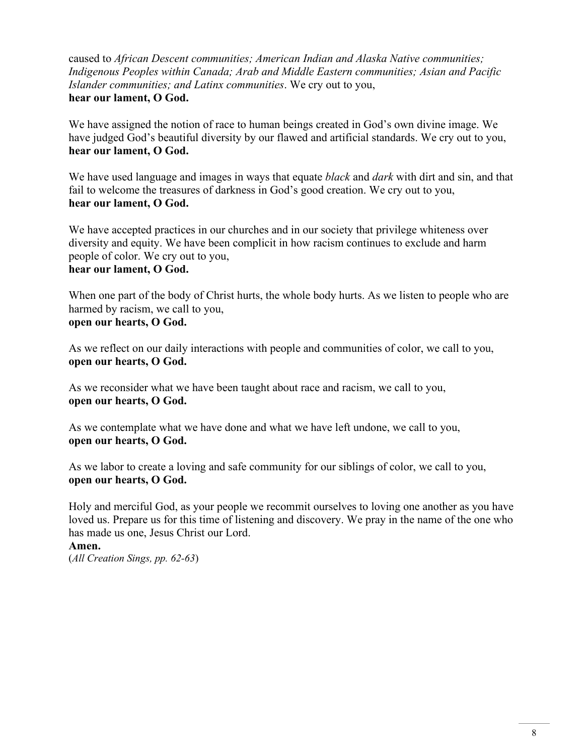caused to *African Descent communities; American Indian and Alaska Native communities; Indigenous Peoples within Canada; Arab and Middle Eastern communities; Asian and Pacific Islander communities; and Latinx communities*. We cry out to you, **hear our lament, O God.**

We have assigned the notion of race to human beings created in God's own divine image. We have judged God's beautiful diversity by our flawed and artificial standards. We cry out to you, **hear our lament, O God.**

We have used language and images in ways that equate *black* and *dark* with dirt and sin, and that fail to welcome the treasures of darkness in God's good creation. We cry out to you, **hear our lament, O God.**

We have accepted practices in our churches and in our society that privilege whiteness over diversity and equity. We have been complicit in how racism continues to exclude and harm people of color. We cry out to you, **hear our lament, O God.**

When one part of the body of Christ hurts, the whole body hurts. As we listen to people who are harmed by racism, we call to you, **open our hearts, O God.**

As we reflect on our daily interactions with people and communities of color, we call to you, **open our hearts, O God.**

As we reconsider what we have been taught about race and racism, we call to you, **open our hearts, O God.**

As we contemplate what we have done and what we have left undone, we call to you, **open our hearts, O God.**

As we labor to create a loving and safe community for our siblings of color, we call to you, **open our hearts, O God.**

Holy and merciful God, as your people we recommit ourselves to loving one another as you have loved us. Prepare us for this time of listening and discovery. We pray in the name of the one who has made us one, Jesus Christ our Lord.

**Amen.**

(*All Creation Sings, pp. 62-63*)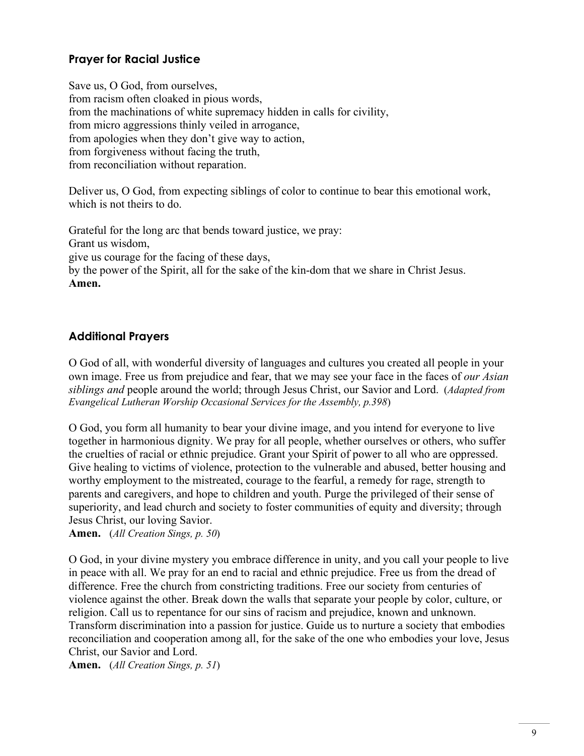# **Prayer for Racial Justice**

Save us, O God, from ourselves, from racism often cloaked in pious words, from the machinations of white supremacy hidden in calls for civility, from micro aggressions thinly veiled in arrogance, from apologies when they don't give way to action, from forgiveness without facing the truth, from reconciliation without reparation.

Deliver us, O God, from expecting siblings of color to continue to bear this emotional work, which is not theirs to do.

Grateful for the long arc that bends toward justice, we pray: Grant us wisdom, give us courage for the facing of these days, by the power of the Spirit, all for the sake of the kin-dom that we share in Christ Jesus. **Amen.** 

## **Additional Prayers**

O God of all, with wonderful diversity of languages and cultures you created all people in your own image. Free us from prejudice and fear, that we may see your face in the faces of *our Asian siblings and* people around the world; through Jesus Christ, our Savior and Lord. (*Adapted from Evangelical Lutheran Worship Occasional Services for the Assembly, p.398*)

O God, you form all humanity to bear your divine image, and you intend for everyone to live together in harmonious dignity. We pray for all people, whether ourselves or others, who suffer the cruelties of racial or ethnic prejudice. Grant your Spirit of power to all who are oppressed. Give healing to victims of violence, protection to the vulnerable and abused, better housing and worthy employment to the mistreated, courage to the fearful, a remedy for rage, strength to parents and caregivers, and hope to children and youth. Purge the privileged of their sense of superiority, and lead church and society to foster communities of equity and diversity; through Jesus Christ, our loving Savior.

**Amen.** (*All Creation Sings, p. 50*)

O God, in your divine mystery you embrace difference in unity, and you call your people to live in peace with all. We pray for an end to racial and ethnic prejudice. Free us from the dread of difference. Free the church from constricting traditions. Free our society from centuries of violence against the other. Break down the walls that separate your people by color, culture, or religion. Call us to repentance for our sins of racism and prejudice, known and unknown. Transform discrimination into a passion for justice. Guide us to nurture a society that embodies reconciliation and cooperation among all, for the sake of the one who embodies your love, Jesus Christ, our Savior and Lord.

**Amen.** (*All Creation Sings, p. 51*)